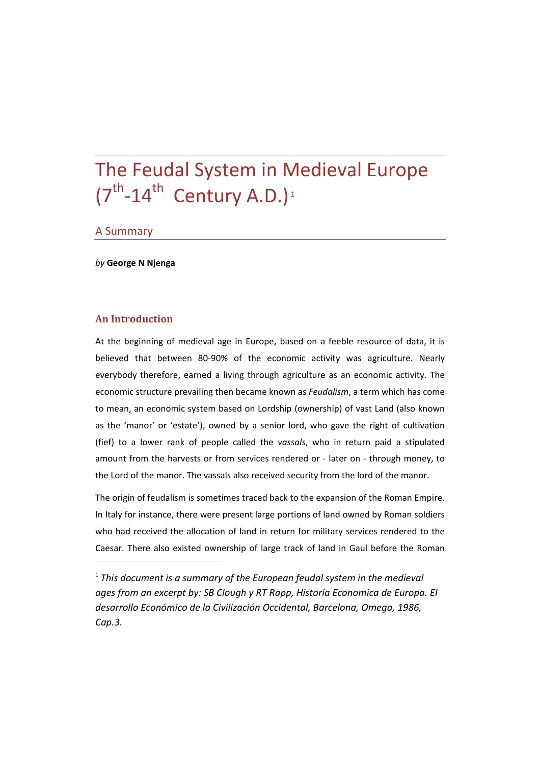# The Feudal System in Medieval Europe  $(7^{th}$ -14<sup>th</sup> Century A.D.)<sup>1</sup>

#### A Summary

*by* **George N Njenga**

#### **An Introduction**

At the beginning of medieval age in Europe, based on a feeble resource of data, it is believed that between 80-90% of the economic activity was agriculture. Nearly everybody therefore, earned a living through agriculture as an economic activity. The economic structure prevailing then became known as *Feudalism*, a term which has come to mean, an economic system based on Lordship (ownership) of vast Land (also known as the 'manor' or 'estate'), owned by a senior lord, who gave the right of cultivation (fief) to a lower rank of people called the *vassals*, who in return paid a stipulated amount from the harvests or from services rendered or ‐ later on ‐ through money, to the Lord of the manor. The vassals also received security from the lord of the manor.

The origin of feudalism is sometimes traced back to the expansion of the Roman Empire. In Italy for instance, there were present large portions of land owned by Roman soldiers who had received the allocation of land in return for military services rendered to the Caesar. There also existed ownership of large track of land in Gaul before the Roman

<sup>1</sup> *This document is a summary of the European feudal system in the medieval ages from an excerpt by: SB Clough y RT Rapp, Historia Economica de Europa. El desarrollo Económico de la Civilización Occidental, Barcelona, Omega, 1986, Cap.3.*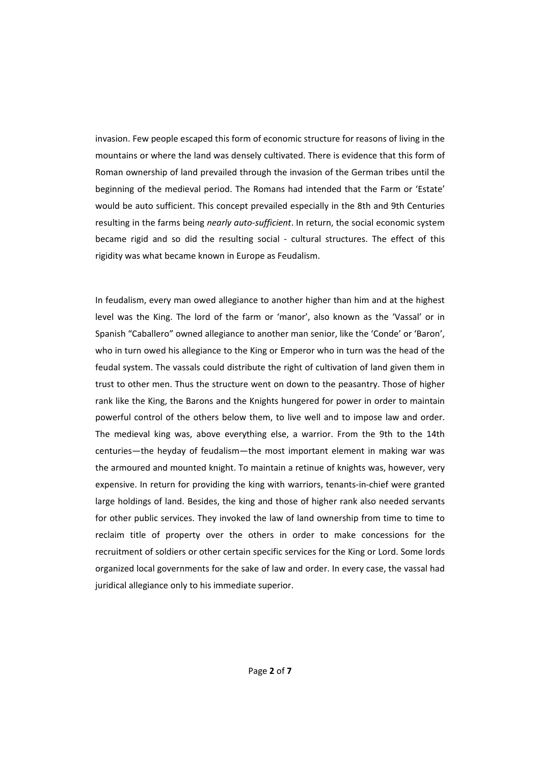invasion. Few people escaped this form of economic structure for reasons of living in the mountains or where the land was densely cultivated. There is evidence that this form of Roman ownership of land prevailed through the invasion of the German tribes until the beginning of the medieval period. The Romans had intended that the Farm or 'Estate' would be auto sufficient. This concept prevailed especially in the 8th and 9th Centuries resulting in the farms being *nearly auto‐sufficient*. In return, the social economic system became rigid and so did the resulting social - cultural structures. The effect of this rigidity was what became known in Europe as Feudalism.

In feudalism, every man owed allegiance to another higher than him and at the highest level was the King. The lord of the farm or 'manor', also known as the 'Vassal' or in Spanish "Caballero" owned allegiance to another man senior, like the 'Conde' or 'Baron', who in turn owed his allegiance to the King or Emperor who in turn was the head of the feudal system. The vassals could distribute the right of cultivation of land given them in trust to other men. Thus the structure went on down to the peasantry. Those of higher rank like the King, the Barons and the Knights hungered for power in order to maintain powerful control of the others below them, to live well and to impose law and order. The medieval king was, above everything else, a warrior. From the 9th to the 14th centuries—the heyday of feudalism—the most important element in making war was the armoured and mounted knight. To maintain a retinue of knights was, however, very expensive. In return for providing the king with warriors, tenants-in-chief were granted large holdings of land. Besides, the king and those of higher rank also needed servants for other public services. They invoked the law of land ownership from time to time to reclaim title of property over the others in order to make concessions for the recruitment of soldiers or other certain specific services for the King or Lord. Some lords organized local governments for the sake of law and order. In every case, the vassal had juridical allegiance only to his immediate superior.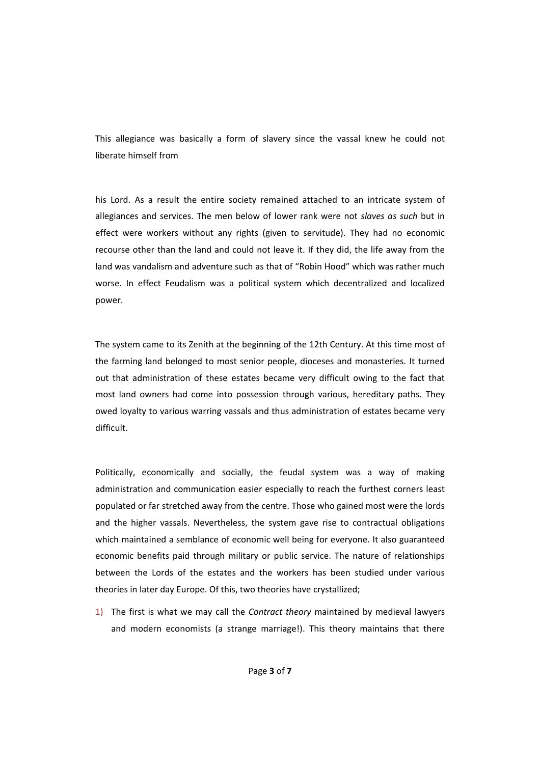This allegiance was basically a form of slavery since the vassal knew he could not liberate himself from

his Lord. As a result the entire society remained attached to an intricate system of allegiances and services. The men below of lower rank were not *slaves as such* but in effect were workers without any rights (given to servitude). They had no economic recourse other than the land and could not leave it. If they did, the life away from the land was vandalism and adventure such as that of "Robin Hood" which was rather much worse. In effect Feudalism was a political system which decentralized and localized power.

The system came to its Zenith at the beginning of the 12th Century. At this time most of the farming land belonged to most senior people, dioceses and monasteries. It turned out that administration of these estates became very difficult owing to the fact that most land owners had come into possession through various, hereditary paths. They owed loyalty to various warring vassals and thus administration of estates became very difficult.

Politically, economically and socially, the feudal system was a way of making administration and communication easier especially to reach the furthest corners least populated or far stretched away from the centre. Those who gained most were the lords and the higher vassals. Nevertheless, the system gave rise to contractual obligations which maintained a semblance of economic well being for everyone. It also guaranteed economic benefits paid through military or public service. The nature of relationships between the Lords of the estates and the workers has been studied under various theories in later day Europe. Of this, two theories have crystallized;

1) The first is what we may call the *Contract theory* maintained by medieval lawyers and modern economists (a strange marriage!). This theory maintains that there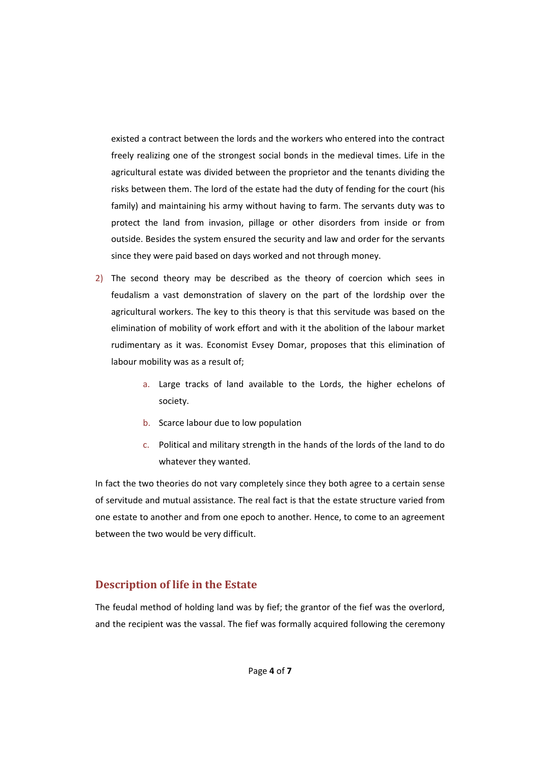existed a contract between the lords and the workers who entered into the contract freely realizing one of the strongest social bonds in the medieval times. Life in the agricultural estate was divided between the proprietor and the tenants dividing the risks between them. The lord of the estate had the duty of fending for the court (his family) and maintaining his army without having to farm. The servants duty was to protect the land from invasion, pillage or other disorders from inside or from outside. Besides the system ensured the security and law and order for the servants since they were paid based on days worked and not through money.

- 2) The second theory may be described as the theory of coercion which sees in feudalism a vast demonstration of slavery on the part of the lordship over the agricultural workers. The key to this theory is that this servitude was based on the elimination of mobility of work effort and with it the abolition of the labour market rudimentary as it was. Economist Evsey Domar, proposes that this elimination of labour mobility was as a result of;
	- a. Large tracks of land available to the Lords, the higher echelons of society.
	- b. Scarce labour due to low population
	- c. Political and military strength in the hands of the lords of the land to do whatever they wanted.

In fact the two theories do not vary completely since they both agree to a certain sense of servitude and mutual assistance. The real fact is that the estate structure varied from one estate to another and from one epoch to another. Hence, to come to an agreement between the two would be very difficult.

## **Description of life in the Estate**

The feudal method of holding land was by fief; the grantor of the fief was the overlord, and the recipient was the vassal. The fief was formally acquired following the ceremony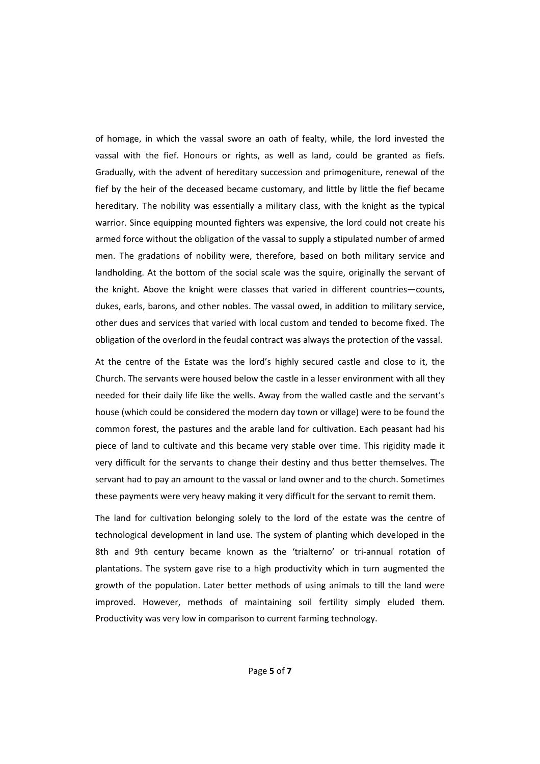of homage, in which the vassal swore an oath of fealty, while, the lord invested the vassal with the fief. Honours or rights, as well as land, could be granted as fiefs. Gradually, with the advent of hereditary succession and primogeniture, renewal of the fief by the heir of the deceased became customary, and little by little the fief became hereditary. The nobility was essentially a military class, with the knight as the typical warrior. Since equipping mounted fighters was expensive, the lord could not create his armed force without the obligation of the vassal to supply a stipulated number of armed men. The gradations of nobility were, therefore, based on both military service and landholding. At the bottom of the social scale was the squire, originally the servant of the knight. Above the knight were classes that varied in different countries—counts, dukes, earls, barons, and other nobles. The vassal owed, in addition to military service, other dues and services that varied with local custom and tended to become fixed. The obligation of the overlord in the feudal contract was always the protection of the vassal.

At the centre of the Estate was the lord's highly secured castle and close to it, the Church. The servants were housed below the castle in a lesser environment with all they needed for their daily life like the wells. Away from the walled castle and the servant's house (which could be considered the modern day town or village) were to be found the common forest, the pastures and the arable land for cultivation. Each peasant had his piece of land to cultivate and this became very stable over time. This rigidity made it very difficult for the servants to change their destiny and thus better themselves. The servant had to pay an amount to the vassal or land owner and to the church. Sometimes these payments were very heavy making it very difficult for the servant to remit them.

The land for cultivation belonging solely to the lord of the estate was the centre of technological development in land use. The system of planting which developed in the 8th and 9th century became known as the 'trialterno' or tri-annual rotation of plantations. The system gave rise to a high productivity which in turn augmented the growth of the population. Later better methods of using animals to till the land were improved. However, methods of maintaining soil fertility simply eluded them. Productivity was very low in comparison to current farming technology.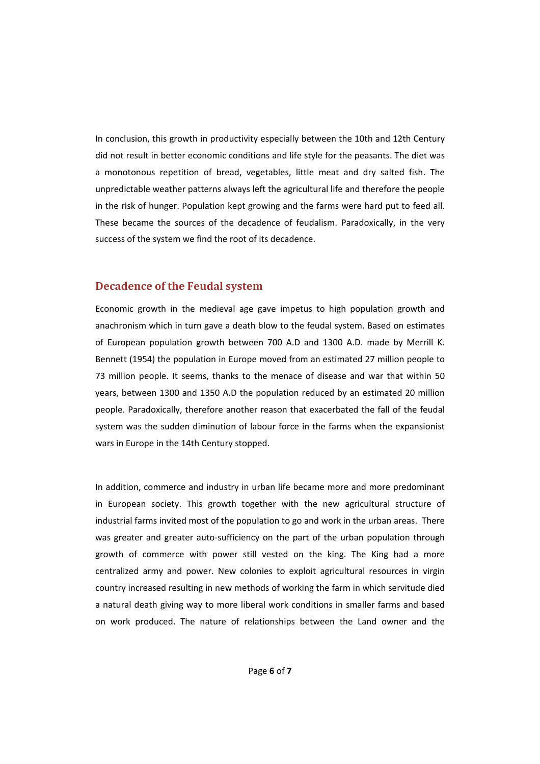In conclusion, this growth in productivity especially between the 10th and 12th Century did not result in better economic conditions and life style for the peasants. The diet was a monotonous repetition of bread, vegetables, little meat and dry salted fish. The unpredictable weather patterns always left the agricultural life and therefore the people in the risk of hunger. Population kept growing and the farms were hard put to feed all. These became the sources of the decadence of feudalism. Paradoxically, in the very success of the system we find the root of its decadence.

### **Decadence of the Feudal system**

Economic growth in the medieval age gave impetus to high population growth and anachronism which in turn gave a death blow to the feudal system. Based on estimates of European population growth between 700 A.D and 1300 A.D. made by Merrill K. Bennett (1954) the population in Europe moved from an estimated 27 million people to 73 million people. It seems, thanks to the menace of disease and war that within 50 years, between 1300 and 1350 A.D the population reduced by an estimated 20 million people. Paradoxically, therefore another reason that exacerbated the fall of the feudal system was the sudden diminution of labour force in the farms when the expansionist wars in Europe in the 14th Century stopped.

In addition, commerce and industry in urban life became more and more predominant in European society. This growth together with the new agricultural structure of industrial farms invited most of the population to go and work in the urban areas. There was greater and greater auto-sufficiency on the part of the urban population through growth of commerce with power still vested on the king. The King had a more centralized army and power. New colonies to exploit agricultural resources in virgin country increased resulting in new methods of working the farm in which servitude died a natural death giving way to more liberal work conditions in smaller farms and based on work produced. The nature of relationships between the Land owner and the